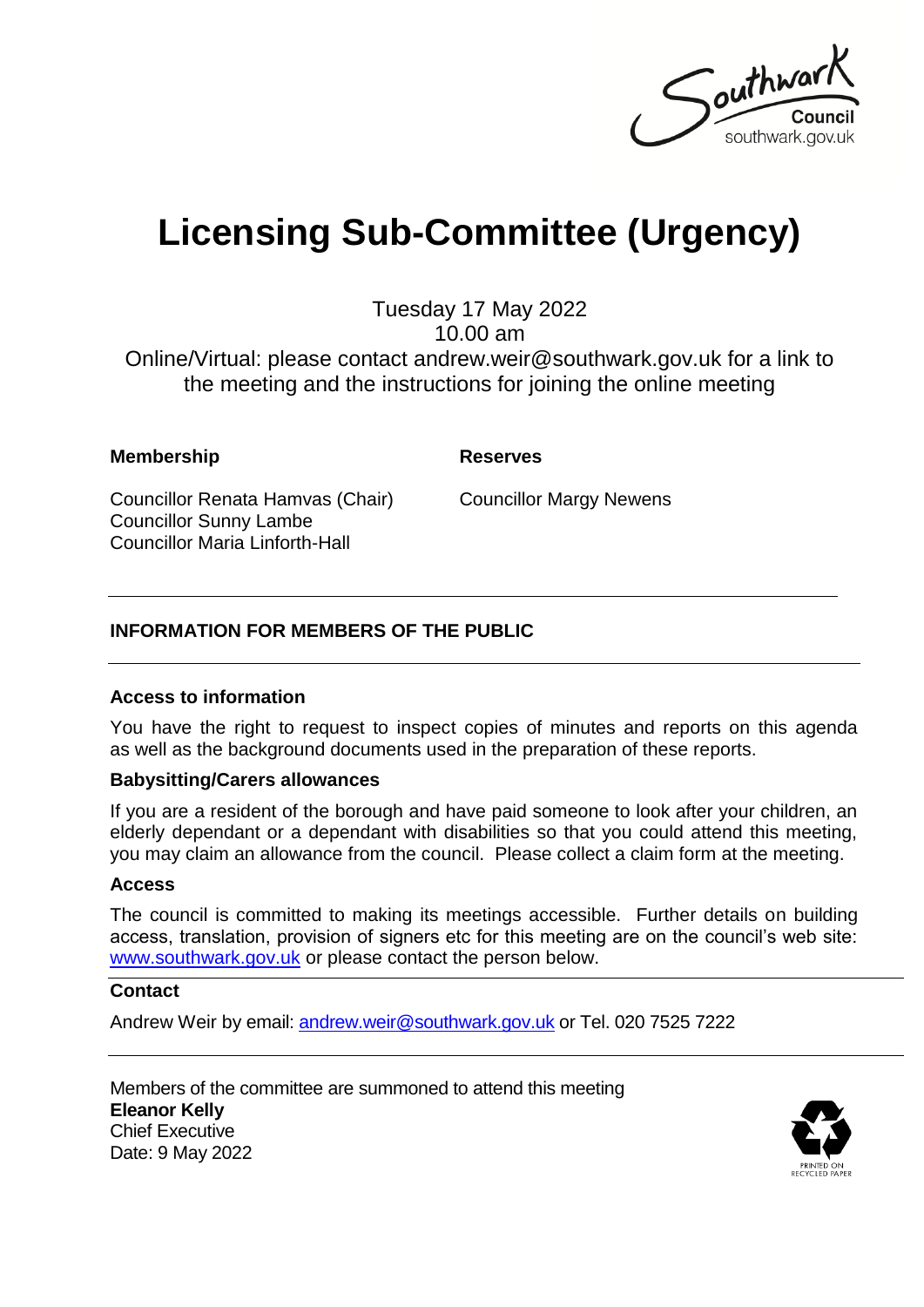

# **Licensing Sub-Committee (Urgency)**

Tuesday 17 May 2022 10.00 am

Online/Virtual: please contact andrew.weir@southwark.gov.uk for a link to the meeting and the instructions for joining the online meeting

#### **Membership Reserves**

Councillor Renata Hamvas (Chair) Councillor Sunny Lambe Councillor Maria Linforth-Hall

Councillor Margy Newens

### **INFORMATION FOR MEMBERS OF THE PUBLIC**

#### **Access to information**

You have the right to request to inspect copies of minutes and reports on this agenda as well as the background documents used in the preparation of these reports.

#### **Babysitting/Carers allowances**

If you are a resident of the borough and have paid someone to look after your children, an elderly dependant or a dependant with disabilities so that you could attend this meeting, you may claim an allowance from the council. Please collect a claim form at the meeting.

#### **Access**

The council is committed to making its meetings accessible. Further details on building access, translation, provision of signers etc for this meeting are on the council's web site: [www.southwark.gov.uk](http://www.southwark.gov.uk/Public/Home.aspx) or please contact the person below.

#### **Contact**

Andrew Weir by email: [andrew.weir@southwark.gov.uk](mailto:andrew.weir@southwark.gov.uk) or Tel. 020 7525 7222

Members of the committee are summoned to attend this meeting **Eleanor Kelly** Chief Executive Date: 9 May 2022

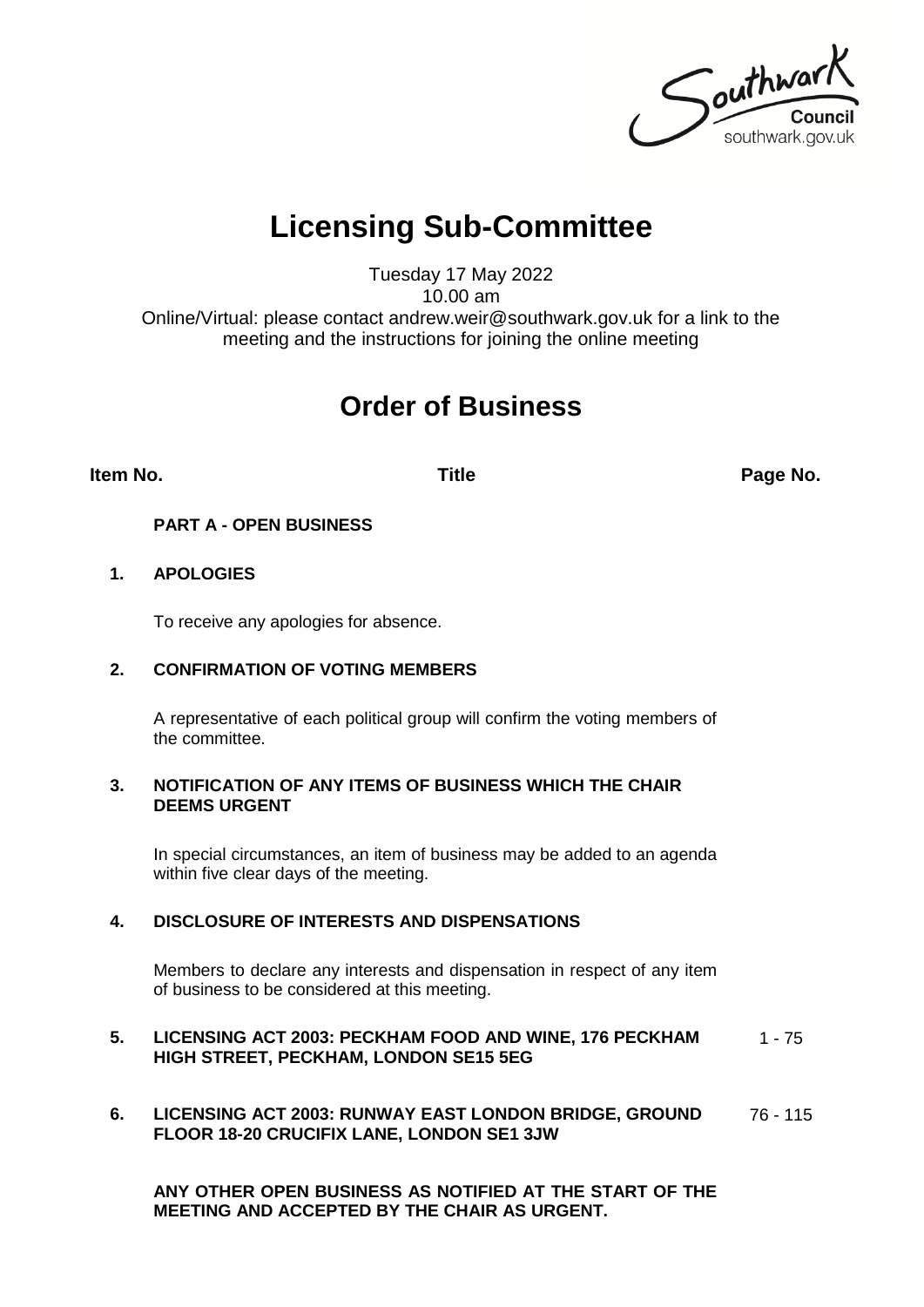Southwark southwark.gov.uk

## **Licensing Sub-Committee**

Tuesday 17 May 2022 10.00 am

Online/Virtual: please contact andrew.weir@southwark.gov.uk for a link to the meeting and the instructions for joining the online meeting

### **Order of Business**

**Item No. Title Page No.**

#### **PART A - OPEN BUSINESS**

#### **1. APOLOGIES**

To receive any apologies for absence.

#### **2. CONFIRMATION OF VOTING MEMBERS**

A representative of each political group will confirm the voting members of the committee.

#### **3. NOTIFICATION OF ANY ITEMS OF BUSINESS WHICH THE CHAIR DEEMS URGENT**

In special circumstances, an item of business may be added to an agenda within five clear days of the meeting.

#### **4. DISCLOSURE OF INTERESTS AND DISPENSATIONS**

Members to declare any interests and dispensation in respect of any item of business to be considered at this meeting.

#### **5. LICENSING ACT 2003: PECKHAM FOOD AND WINE, 176 PECKHAM HIGH STREET, PECKHAM, LONDON SE15 5EG**  $1 - 75$

**6. LICENSING ACT 2003: RUNWAY EAST LONDON BRIDGE, GROUND FLOOR 18-20 CRUCIFIX LANE, LONDON SE1 3JW** 76 - 115

**ANY OTHER OPEN BUSINESS AS NOTIFIED AT THE START OF THE MEETING AND ACCEPTED BY THE CHAIR AS URGENT.**